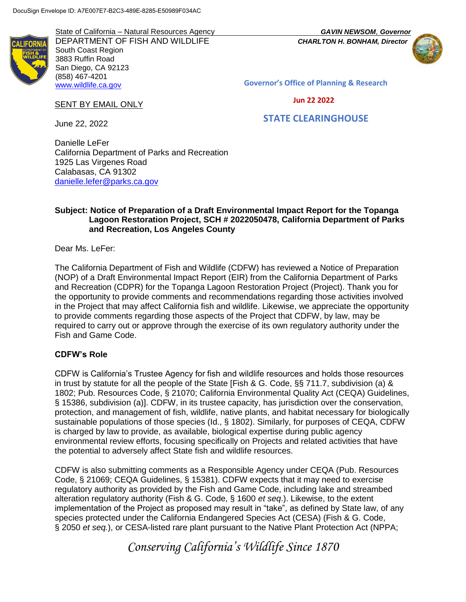State of California – Natural Resources Agency *GAVIN NEWSOM*, *Governor* DEPARTMENT OF FISH AND WILDLIFE *CHARLTON H. BONHAM, Director* South Coast Region 3883 Ruffin Road San Diego, CA 92123 (858) 467-4201 [www.wildlife.ca.gov](http://www.wildlife.ca.gov/)



**Governor's Office of Planning & Research**

 **STATE CLEARINGHOUSE**

#### **Jun 22 2022**

June 22, 2022

SENT BY EMAIL ONLY

Danielle LeFer California Department of Parks and Recreation 1925 Las Virgenes Road Calabasas, CA 91302 [danielle.lefer@parks.ca.gov](mailto:danielle.lefer@parks.ca.gov)

## **Subject: Notice of Preparation of a Draft Environmental Impact Report for the Topanga Lagoon Restoration Project, SCH # 2022050478, California Department of Parks and Recreation, Los Angeles County**

Dear Ms. LeFer:

The California Department of Fish and Wildlife (CDFW) has reviewed a Notice of Preparation (NOP) of a Draft Environmental Impact Report (EIR) from the California Department of Parks and Recreation (CDPR) for the Topanga Lagoon Restoration Project (Project). Thank you for the opportunity to provide comments and recommendations regarding those activities involved in the Project that may affect California fish and wildlife. Likewise, we appreciate the opportunity to provide comments regarding those aspects of the Project that CDFW, by law, may be required to carry out or approve through the exercise of its own regulatory authority under the Fish and Game Code.

## **CDFW's Role**

CDFW is California's Trustee Agency for fish and wildlife resources and holds those resources in trust by statute for all the people of the State [Fish & G. Code, §§ 711.7, subdivision (a) & 1802; Pub. Resources Code, § 21070; California Environmental Quality Act (CEQA) Guidelines, § 15386, subdivision (a)]. CDFW, in its trustee capacity, has jurisdiction over the conservation, protection, and management of fish, wildlife, native plants, and habitat necessary for biologically sustainable populations of those species (Id., § 1802). Similarly, for purposes of CEQA, CDFW is charged by law to provide, as available, biological expertise during public agency environmental review efforts, focusing specifically on Projects and related activities that have the potential to adversely affect State fish and wildlife resources.

CDFW is also submitting comments as a Responsible Agency under CEQA (Pub. Resources Code, § 21069; CEQA Guidelines, § 15381). CDFW expects that it may need to exercise regulatory authority as provided by the Fish and Game Code, including lake and streambed alteration regulatory authority (Fish & G. Code, § 1600 *et seq*.). Likewise, to the extent implementation of the Project as proposed may result in "take", as defined by State law, of any species protected under the California Endangered Species Act (CESA) (Fish & G. Code, § 2050 *et seq.*), or CESA-listed rare plant pursuant to the Native Plant Protection Act (NPPA;

*Conserving California's Wildlife Since 1870*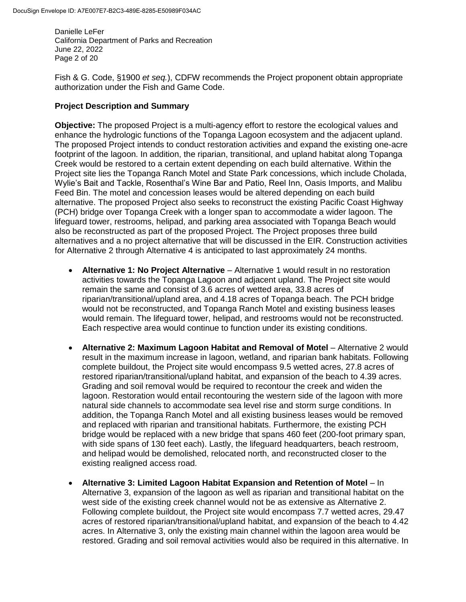Danielle LeFer California Department of Parks and Recreation June 22, 2022 Page 2 of 20

Fish & G. Code, §1900 *et seq.*), CDFW recommends the Project proponent obtain appropriate authorization under the Fish and Game Code.

## **Project Description and Summary**

**Objective:** The proposed Project is a multi-agency effort to restore the ecological values and enhance the hydrologic functions of the Topanga Lagoon ecosystem and the adjacent upland. The proposed Project intends to conduct restoration activities and expand the existing one-acre footprint of the lagoon. In addition, the riparian, transitional, and upland habitat along Topanga Creek would be restored to a certain extent depending on each build alternative. Within the Project site lies the Topanga Ranch Motel and State Park concessions, which include Cholada, Wylie's Bait and Tackle, Rosenthal's Wine Bar and Patio, Reel Inn, Oasis Imports, and Malibu Feed Bin. The motel and concession leases would be altered depending on each build alternative. The proposed Project also seeks to reconstruct the existing Pacific Coast Highway (PCH) bridge over Topanga Creek with a longer span to accommodate a wider lagoon. The lifeguard tower, restrooms, helipad, and parking area associated with Topanga Beach would also be reconstructed as part of the proposed Project. The Project proposes three build alternatives and a no project alternative that will be discussed in the EIR. Construction activities for Alternative 2 through Alternative 4 is anticipated to last approximately 24 months.

- **Alternative 1: No Project Alternative** Alternative 1 would result in no restoration activities towards the Topanga Lagoon and adjacent upland. The Project site would remain the same and consist of 3.6 acres of wetted area, 33.8 acres of riparian/transitional/upland area, and 4.18 acres of Topanga beach. The PCH bridge would not be reconstructed, and Topanga Ranch Motel and existing business leases would remain. The lifeguard tower, helipad, and restrooms would not be reconstructed. Each respective area would continue to function under its existing conditions.
- **Alternative 2: Maximum Lagoon Habitat and Removal of Motel** Alternative 2 would result in the maximum increase in lagoon, wetland, and riparian bank habitats. Following complete buildout, the Project site would encompass 9.5 wetted acres, 27.8 acres of restored riparian/transitional/upland habitat, and expansion of the beach to 4.39 acres. Grading and soil removal would be required to recontour the creek and widen the lagoon. Restoration would entail recontouring the western side of the lagoon with more natural side channels to accommodate sea level rise and storm surge conditions. In addition, the Topanga Ranch Motel and all existing business leases would be removed and replaced with riparian and transitional habitats. Furthermore, the existing PCH bridge would be replaced with a new bridge that spans 460 feet (200-foot primary span, with side spans of 130 feet each). Lastly, the lifeguard headquarters, beach restroom, and helipad would be demolished, relocated north, and reconstructed closer to the existing realigned access road.
- **Alternative 3: Limited Lagoon Habitat Expansion and Retention of Motel** In Alternative 3, expansion of the lagoon as well as riparian and transitional habitat on the west side of the existing creek channel would not be as extensive as Alternative 2. Following complete buildout, the Project site would encompass 7.7 wetted acres, 29.47 acres of restored riparian/transitional/upland habitat, and expansion of the beach to 4.42 acres. In Alternative 3, only the existing main channel within the lagoon area would be restored. Grading and soil removal activities would also be required in this alternative. In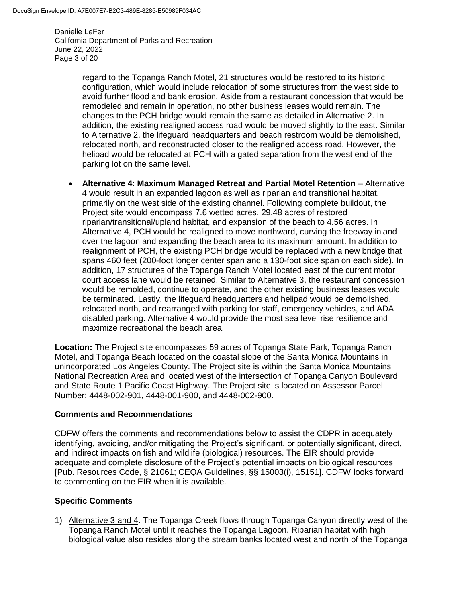Danielle LeFer California Department of Parks and Recreation June 22, 2022 Page 3 of 20

> regard to the Topanga Ranch Motel, 21 structures would be restored to its historic configuration, which would include relocation of some structures from the west side to avoid further flood and bank erosion. Aside from a restaurant concession that would be remodeled and remain in operation, no other business leases would remain. The changes to the PCH bridge would remain the same as detailed in Alternative 2. In addition, the existing realigned access road would be moved slightly to the east. Similar to Alternative 2, the lifeguard headquarters and beach restroom would be demolished, relocated north, and reconstructed closer to the realigned access road. However, the helipad would be relocated at PCH with a gated separation from the west end of the parking lot on the same level.

 **Alternative 4**: **Maximum Managed Retreat and Partial Motel Retention** – Alternative 4 would result in an expanded lagoon as well as riparian and transitional habitat, primarily on the west side of the existing channel. Following complete buildout, the Project site would encompass 7.6 wetted acres, 29.48 acres of restored riparian/transitional/upland habitat, and expansion of the beach to 4.56 acres. In Alternative 4, PCH would be realigned to move northward, curving the freeway inland over the lagoon and expanding the beach area to its maximum amount. In addition to realignment of PCH, the existing PCH bridge would be replaced with a new bridge that spans 460 feet (200-foot longer center span and a 130-foot side span on each side). In addition, 17 structures of the Topanga Ranch Motel located east of the current motor court access lane would be retained. Similar to Alternative 3, the restaurant concession would be remolded, continue to operate, and the other existing business leases would be terminated. Lastly, the lifeguard headquarters and helipad would be demolished, relocated north, and rearranged with parking for staff, emergency vehicles, and ADA disabled parking. Alternative 4 would provide the most sea level rise resilience and maximize recreational the beach area.

**Location:** The Project site encompasses 59 acres of Topanga State Park, Topanga Ranch Motel, and Topanga Beach located on the coastal slope of the Santa Monica Mountains in unincorporated Los Angeles County. The Project site is within the Santa Monica Mountains National Recreation Area and located west of the intersection of Topanga Canyon Boulevard and State Route 1 Pacific Coast Highway. The Project site is located on Assessor Parcel Number: 4448-002-901, 4448-001-900, and 4448-002-900.

## **Comments and Recommendations**

CDFW offers the comments and recommendations below to assist the CDPR in adequately identifying, avoiding, and/or mitigating the Project's significant, or potentially significant, direct, and indirect impacts on fish and wildlife (biological) resources. The EIR should provide adequate and complete disclosure of the Project's potential impacts on biological resources [Pub. Resources Code, § 21061; CEQA Guidelines, §§ 15003(i), 15151]. CDFW looks forward to commenting on the EIR when it is available.

# **Specific Comments**

1) Alternative 3 and 4. The Topanga Creek flows through Topanga Canyon directly west of the Topanga Ranch Motel until it reaches the Topanga Lagoon. Riparian habitat with high biological value also resides along the stream banks located west and north of the Topanga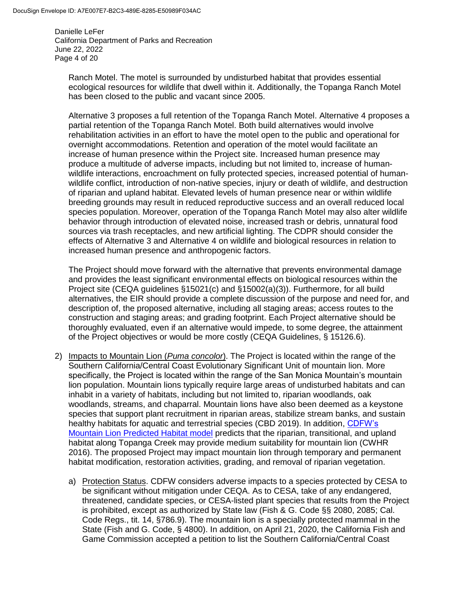Danielle LeFer California Department of Parks and Recreation June 22, 2022 Page 4 of 20

Ranch Motel. The motel is surrounded by undisturbed habitat that provides essential ecological resources for wildlife that dwell within it. Additionally, the Topanga Ranch Motel has been closed to the public and vacant since 2005.

Alternative 3 proposes a full retention of the Topanga Ranch Motel. Alternative 4 proposes a partial retention of the Topanga Ranch Motel. Both build alternatives would involve rehabilitation activities in an effort to have the motel open to the public and operational for overnight accommodations. Retention and operation of the motel would facilitate an increase of human presence within the Project site. Increased human presence may produce a multitude of adverse impacts, including but not limited to, increase of humanwildlife interactions, encroachment on fully protected species, increased potential of humanwildlife conflict, introduction of non-native species, injury or death of wildlife, and destruction of riparian and upland habitat. Elevated levels of human presence near or within wildlife breeding grounds may result in reduced reproductive success and an overall reduced local species population. Moreover, operation of the Topanga Ranch Motel may also alter wildlife behavior through introduction of elevated noise, increased trash or debris, unnatural food sources via trash receptacles, and new artificial lighting. The CDPR should consider the effects of Alternative 3 and Alternative 4 on wildlife and biological resources in relation to increased human presence and anthropogenic factors.

The Project should move forward with the alternative that prevents environmental damage and provides the least significant environmental effects on biological resources within the Project site (CEQA guidelines §15021(c) and §15002(a)(3)). Furthermore, for all build alternatives, the EIR should provide a complete discussion of the purpose and need for, and description of, the proposed alternative, including all staging areas; access routes to the construction and staging areas; and grading footprint. Each Project alternative should be thoroughly evaluated, even if an alternative would impede, to some degree, the attainment of the Project objectives or would be more costly (CEQA Guidelines, § 15126.6).

- 2) Impacts to Mountain Lion (*Puma concolor*). The Project is located within the range of the Southern California/Central Coast Evolutionary Significant Unit of mountain lion. More specifically, the Project is located within the range of the San Monica Mountain's mountain lion population. Mountain lions typically require large areas of undisturbed habitats and can inhabit in a variety of habitats, including but not limited to, riparian woodlands, oak woodlands, streams, and chaparral. Mountain lions have also been deemed as a keystone species that support plant recruitment in riparian areas, stabilize stream banks, and sustain healthy habitats for aquatic and terrestrial species (CBD 2019). In addition, [CDFW's](https://map.dfg.ca.gov/metadata/ds2616.html?5.108.39)  [Mountain Lion Predicted Habitat model](https://map.dfg.ca.gov/metadata/ds2616.html?5.108.39) predicts that the riparian, transitional, and upland habitat along Topanga Creek may provide medium suitability for mountain lion (CWHR 2016). The proposed Project may impact mountain lion through temporary and permanent habitat modification, restoration activities, grading, and removal of riparian vegetation.
	- a) Protection Status. CDFW considers adverse impacts to a species protected by CESA to be significant without mitigation under CEQA. As to CESA, take of any endangered, threatened, candidate species, or CESA-listed plant species that results from the Project is prohibited, except as authorized by State law (Fish & G. Code §§ 2080, 2085; Cal. Code Regs., tit. 14, §786.9). The mountain lion is a specially protected mammal in the State (Fish and G. Code, § 4800). In addition, on April 21, 2020, the California Fish and Game Commission accepted a petition to list the Southern California/Central Coast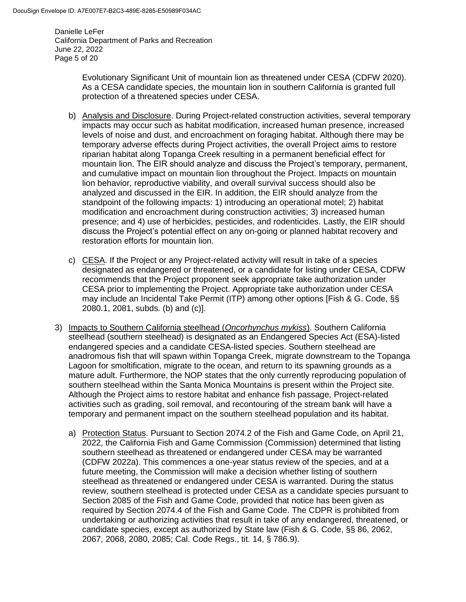Danielle LeFer California Department of Parks and Recreation June 22, 2022 Page 5 of 20

> Evolutionary Significant Unit of mountain lion as threatened under CESA (CDFW 2020). As a CESA candidate species, the mountain lion in southern California is granted full protection of a threatened species under CESA.

- b) Analysis and Disclosure. During Project-related construction activities, several temporary impacts may occur such as habitat modification, increased human presence, increased levels of noise and dust, and encroachment on foraging habitat. Although there may be temporary adverse effects during Project activities, the overall Project aims to restore riparian habitat along Topanga Creek resulting in a permanent beneficial effect for mountain lion. The EIR should analyze and discuss the Project's temporary, permanent, and cumulative impact on mountain lion throughout the Project. Impacts on mountain lion behavior, reproductive viability, and overall survival success should also be analyzed and discussed in the EIR. In addition, the EIR should analyze from the standpoint of the following impacts: 1) introducing an operational motel; 2) habitat modification and encroachment during construction activities; 3) increased human presence; and 4) use of herbicides, pesticides, and rodenticides. Lastly, the EIR should discuss the Project's potential effect on any on-going or planned habitat recovery and restoration efforts for mountain lion.
- c) CESA. If the Project or any Project-related activity will result in take of a species designated as endangered or threatened, or a candidate for listing under CESA, CDFW recommends that the Project proponent seek appropriate take authorization under CESA prior to implementing the Project. Appropriate take authorization under CESA may include an Incidental Take Permit (ITP) among other options [Fish & G. Code, §§ 2080.1, 2081, subds. (b) and (c)].
- 3) Impacts to Southern California steelhead (*Oncorhynchus mykiss*). Southern California steelhead (southern steelhead) is designated as an Endangered Species Act (ESA)-listed endangered species and a candidate CESA-listed species. Southern steelhead are anadromous fish that will spawn within Topanga Creek, migrate downstream to the Topanga Lagoon for smoltification, migrate to the ocean, and return to its spawning grounds as a mature adult. Furthermore, the NOP states that the only currently reproducing population of southern steelhead within the Santa Monica Mountains is present within the Project site. Although the Project aims to restore habitat and enhance fish passage, Project-related activities such as grading, soil removal, and recontouring of the stream bank will have a temporary and permanent impact on the southern steelhead population and its habitat.
	- a) Protection Status. Pursuant to Section 2074.2 of the Fish and Game Code, on April 21, 2022, the California Fish and Game Commission (Commission) determined that listing southern steelhead as threatened or endangered under CESA may be warranted (CDFW 2022a). This commences a one-year status review of the species, and at a future meeting, the Commission will make a decision whether listing of southern steelhead as threatened or endangered under CESA is warranted. During the status review, southern steelhead is protected under CESA as a candidate species pursuant to Section 2085 of the Fish and Game Code, provided that notice has been given as required by Section 2074.4 of the Fish and Game Code. The CDPR is prohibited from undertaking or authorizing activities that result in take of any endangered, threatened, or candidate species, except as authorized by State law (Fish & G. Code, §§ 86, 2062, 2067, 2068, 2080, 2085; Cal. Code Regs., tit. 14, § 786.9).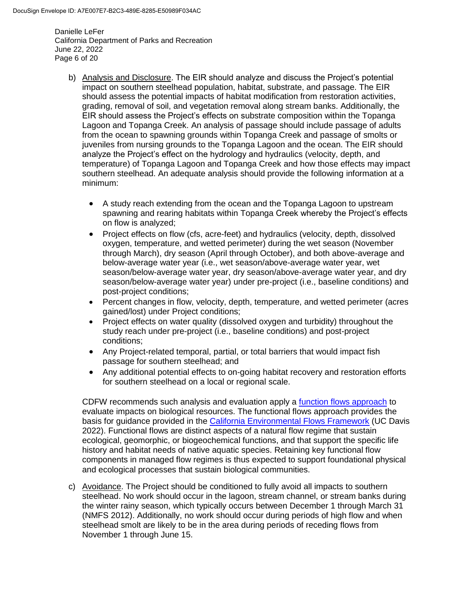Danielle LeFer California Department of Parks and Recreation June 22, 2022 Page 6 of 20

- b) Analysis and Disclosure. The EIR should analyze and discuss the Project's potential impact on southern steelhead population, habitat, substrate, and passage. The EIR should assess the potential impacts of habitat modification from restoration activities, grading, removal of soil, and vegetation removal along stream banks. Additionally, the EIR should assess the Project's effects on substrate composition within the Topanga Lagoon and Topanga Creek. An analysis of passage should include passage of adults from the ocean to spawning grounds within Topanga Creek and passage of smolts or juveniles from nursing grounds to the Topanga Lagoon and the ocean. The EIR should analyze the Project's effect on the hydrology and hydraulics (velocity, depth, and temperature) of Topanga Lagoon and Topanga Creek and how those effects may impact southern steelhead. An adequate analysis should provide the following information at a minimum:
	- A study reach extending from the ocean and the Topanga Lagoon to upstream spawning and rearing habitats within Topanga Creek whereby the Project's effects on flow is analyzed;
	- Project effects on flow (cfs, acre-feet) and hydraulics (velocity, depth, dissolved oxygen, temperature, and wetted perimeter) during the wet season (November through March), dry season (April through October), and both above-average and below-average water year (i.e., wet season/above-average water year, wet season/below-average water year, dry season/above-average water year, and dry season/below-average water year) under pre-project (i.e., baseline conditions) and post-project conditions;
	- Percent changes in flow, velocity, depth, temperature, and wetted perimeter (acres gained/lost) under Project conditions;
	- Project effects on water quality (dissolved oxygen and turbidity) throughout the study reach under pre-project (i.e., baseline conditions) and post-project conditions;
	- Any Project-related temporal, partial, or total barriers that would impact fish passage for southern steelhead; and
	- Any additional potential effects to on-going habitat recovery and restoration efforts for southern steelhead on a local or regional scale.

CDFW recommends such analysis and evaluation apply a [function flows approach](https://ceff.ucdavis.edu/functional-flows-approach) to evaluate impacts on biological resources. The functional flows approach provides the basis for guidance provided in the [California Environmental Flows Framework](https://ceff.ucdavis.edu/) (UC Davis 2022). Functional flows are distinct aspects of a natural flow regime that sustain ecological, geomorphic, or biogeochemical functions, and that support the specific life history and habitat needs of native aquatic species. Retaining key functional flow components in managed flow regimes is thus expected to support foundational physical and ecological processes that sustain biological communities.

c) Avoidance. The Project should be conditioned to fully avoid all impacts to southern steelhead. No work should occur in the lagoon, stream channel, or stream banks during the winter rainy season, which typically occurs between December 1 through March 31 (NMFS 2012). Additionally, no work should occur during periods of high flow and when steelhead smolt are likely to be in the area during periods of receding flows from November 1 through June 15.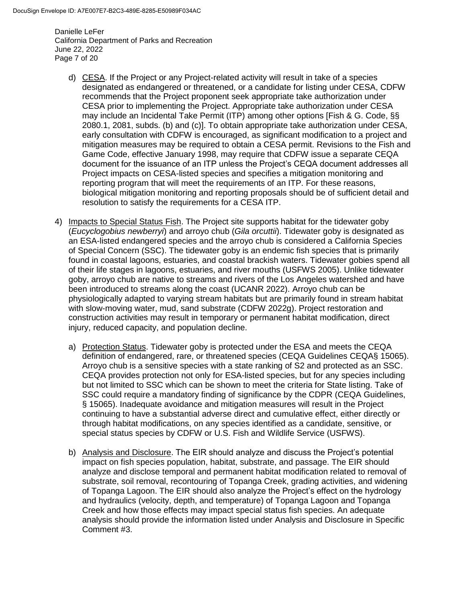Danielle LeFer California Department of Parks and Recreation June 22, 2022 Page 7 of 20

- d) CESA. If the Project or any Project-related activity will result in take of a species designated as endangered or threatened, or a candidate for listing under CESA, CDFW recommends that the Project proponent seek appropriate take authorization under CESA prior to implementing the Project. Appropriate take authorization under CESA may include an Incidental Take Permit (ITP) among other options [Fish & G. Code, §§ 2080.1, 2081, subds. (b) and (c)]. To obtain appropriate take authorization under CESA, early consultation with CDFW is encouraged, as significant modification to a project and mitigation measures may be required to obtain a CESA permit. Revisions to the Fish and Game Code, effective January 1998, may require that CDFW issue a separate CEQA document for the issuance of an ITP unless the Project's CEQA document addresses all Project impacts on CESA-listed species and specifies a mitigation monitoring and reporting program that will meet the requirements of an ITP. For these reasons, biological mitigation monitoring and reporting proposals should be of sufficient detail and resolution to satisfy the requirements for a CESA ITP.
- 4) Impacts to Special Status Fish. The Project site supports habitat for the tidewater goby (*Eucyclogobius newberryi*) and arroyo chub (*Gila orcuttii*). Tidewater goby is designated as an ESA-listed endangered species and the arroyo chub is considered a California Species of Special Concern (SSC). The tidewater goby is an endemic fish species that is primarily found in coastal lagoons, estuaries, and coastal brackish waters. Tidewater gobies spend all of their life stages in lagoons, estuaries, and river mouths (USFWS 2005). Unlike tidewater goby, arroyo chub are native to streams and rivers of the Los Angeles watershed and have been introduced to streams along the coast (UCANR 2022). Arroyo chub can be physiologically adapted to varying stream habitats but are primarily found in stream habitat with slow-moving water, mud, sand substrate (CDFW 2022g). Project restoration and construction activities may result in temporary or permanent habitat modification, direct injury, reduced capacity, and population decline.
	- a) Protection Status. Tidewater goby is protected under the ESA and meets the CEQA definition of endangered, rare, or threatened species (CEQA Guidelines CEQA§ 15065). Arroyo chub is a sensitive species with a state ranking of S2 and protected as an SSC. CEQA provides protection not only for ESA-listed species, but for any species including but not limited to SSC which can be shown to meet the criteria for State listing. Take of SSC could require a mandatory finding of significance by the CDPR (CEQA Guidelines, § 15065). Inadequate avoidance and mitigation measures will result in the Project continuing to have a substantial adverse direct and cumulative effect, either directly or through habitat modifications, on any species identified as a candidate, sensitive, or special status species by CDFW or U.S. Fish and Wildlife Service (USFWS).
	- b) Analysis and Disclosure. The EIR should analyze and discuss the Project's potential impact on fish species population, habitat, substrate, and passage. The EIR should analyze and disclose temporal and permanent habitat modification related to removal of substrate, soil removal, recontouring of Topanga Creek, grading activities, and widening of Topanga Lagoon. The EIR should also analyze the Project's effect on the hydrology and hydraulics (velocity, depth, and temperature) of Topanga Lagoon and Topanga Creek and how those effects may impact special status fish species. An adequate analysis should provide the information listed under Analysis and Disclosure in Specific Comment #3.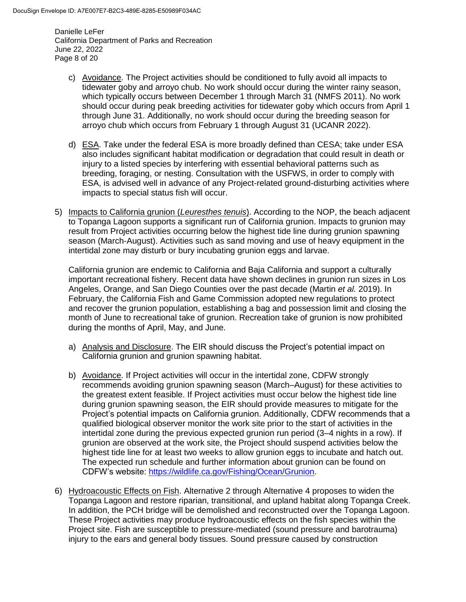Danielle LeFer California Department of Parks and Recreation June 22, 2022 Page 8 of 20

- c) Avoidance. The Project activities should be conditioned to fully avoid all impacts to tidewater goby and arroyo chub. No work should occur during the winter rainy season, which typically occurs between December 1 through March 31 (NMFS 2011). No work should occur during peak breeding activities for tidewater goby which occurs from April 1 through June 31. Additionally, no work should occur during the breeding season for arroyo chub which occurs from February 1 through August 31 (UCANR 2022).
- d) ESA. Take under the federal ESA is more broadly defined than CESA; take under ESA also includes significant habitat modification or degradation that could result in death or injury to a listed species by interfering with essential behavioral patterns such as breeding, foraging, or nesting. Consultation with the USFWS, in order to comply with ESA, is advised well in advance of any Project-related ground-disturbing activities where impacts to special status fish will occur.
- 5) Impacts to California grunion (*Leuresthes tenuis*). According to the NOP, the beach adjacent to Topanga Lagoon supports a significant run of California grunion. Impacts to grunion may result from Project activities occurring below the highest tide line during grunion spawning season (March-August). Activities such as sand moving and use of heavy equipment in the intertidal zone may disturb or bury incubating grunion eggs and larvae.

California grunion are endemic to California and Baja California and support a culturally important recreational fishery. Recent data have shown declines in grunion run sizes in Los Angeles, Orange, and San Diego Counties over the past decade (Martin *et al.* 2019). In February, the California Fish and Game Commission adopted new regulations to protect and recover the grunion population, establishing a bag and possession limit and closing the month of June to recreational take of grunion. Recreation take of grunion is now prohibited during the months of April, May, and June.

- a) Analysis and Disclosure. The EIR should discuss the Project's potential impact on California grunion and grunion spawning habitat.
- b) Avoidance. If Project activities will occur in the intertidal zone, CDFW strongly recommends avoiding grunion spawning season (March–August) for these activities to the greatest extent feasible. If Project activities must occur below the highest tide line during grunion spawning season, the EIR should provide measures to mitigate for the Project's potential impacts on California grunion. Additionally, CDFW recommends that a qualified biological observer monitor the work site prior to the start of activities in the intertidal zone during the previous expected grunion run period (3–4 nights in a row). If grunion are observed at the work site, the Project should suspend activities below the highest tide line for at least two weeks to allow grunion eggs to incubate and hatch out. The expected run schedule and further information about grunion can be found on CDFW's website: [https://wildlife.ca.gov/Fishing/Ocean/Grunion.](https://wildlife.ca.gov/Fishing/Ocean/Grunion)
- 6) Hydroacoustic Effects on Fish. Alternative 2 through Alternative 4 proposes to widen the Topanga Lagoon and restore riparian, transitional, and upland habitat along Topanga Creek. In addition, the PCH bridge will be demolished and reconstructed over the Topanga Lagoon. These Project activities may produce hydroacoustic effects on the fish species within the Project site. Fish are susceptible to pressure-mediated (sound pressure and barotrauma) injury to the ears and general body tissues. Sound pressure caused by construction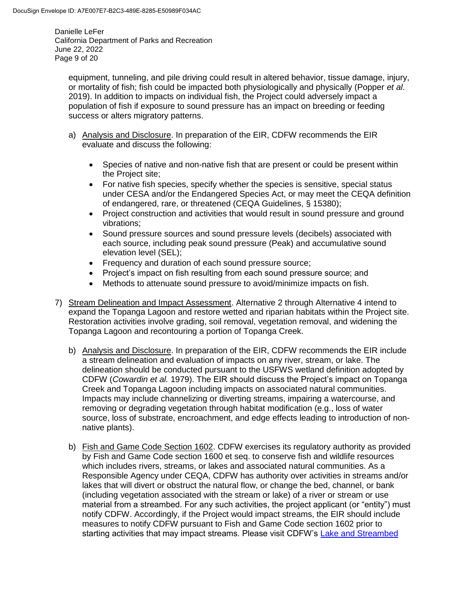Danielle LeFer California Department of Parks and Recreation June 22, 2022 Page 9 of 20

equipment, tunneling, and pile driving could result in altered behavior, tissue damage, injury, or mortality of fish; fish could be impacted both physiologically and physically (Popper *et al*. 2019). In addition to impacts on individual fish, the Project could adversely impact a population of fish if exposure to sound pressure has an impact on breeding or feeding success or alters migratory patterns.

- a) Analysis and Disclosure. In preparation of the EIR, CDFW recommends the EIR evaluate and discuss the following:
	- Species of native and non-native fish that are present or could be present within the Project site;
	- For native fish species, specify whether the species is sensitive, special status under CESA and/or the Endangered Species Act, or may meet the CEQA definition of endangered, rare, or threatened (CEQA Guidelines, § 15380);
	- Project construction and activities that would result in sound pressure and ground vibrations;
	- Sound pressure sources and sound pressure levels (decibels) associated with each source, including peak sound pressure (Peak) and accumulative sound elevation level (SEL);
	- Frequency and duration of each sound pressure source;
	- Project's impact on fish resulting from each sound pressure source; and
	- Methods to attenuate sound pressure to avoid/minimize impacts on fish.
- 7) Stream Delineation and Impact Assessment. Alternative 2 through Alternative 4 intend to expand the Topanga Lagoon and restore wetted and riparian habitats within the Project site. Restoration activities involve grading, soil removal, vegetation removal, and widening the Topanga Lagoon and recontouring a portion of Topanga Creek.
	- b) Analysis and Disclosure. In preparation of the EIR, CDFW recommends the EIR include a stream delineation and evaluation of impacts on any river, stream, or lake. The delineation should be conducted pursuant to the USFWS wetland definition adopted by CDFW (*Cowardin et al.* 1979). The EIR should discuss the Project's impact on Topanga Creek and Topanga Lagoon including impacts on associated natural communities. Impacts may include channelizing or diverting streams, impairing a watercourse, and removing or degrading vegetation through habitat modification (e.g., loss of water source, loss of substrate, encroachment, and edge effects leading to introduction of nonnative plants).
	- b) Fish and Game Code Section 1602. CDFW exercises its regulatory authority as provided by Fish and Game Code section 1600 et seq. to conserve fish and wildlife resources which includes rivers, streams, or lakes and associated natural communities. As a Responsible Agency under CEQA, CDFW has authority over activities in streams and/or lakes that will divert or obstruct the natural flow, or change the bed, channel, or bank (including vegetation associated with the stream or lake) of a river or stream or use material from a streambed. For any such activities, the project applicant (or "entity") must notify CDFW. Accordingly, if the Project would impact streams, the EIR should include measures to notify CDFW pursuant to Fish and Game Code section 1602 prior to starting activities that may impact streams. Please visit CDFW's [Lake and Streambed](https://wildlife.ca.gov/Conservation/Environmental-Review/LSA)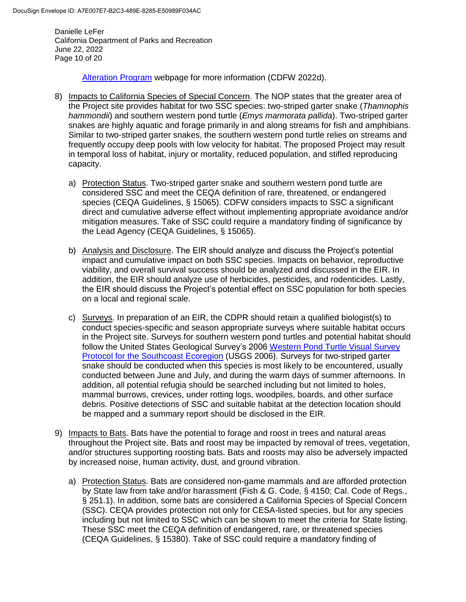Danielle LeFer California Department of Parks and Recreation June 22, 2022 Page 10 of 20

[Alteration Program](https://wildlife.ca.gov/Conservation/Environmental-Review/LSA) webpage for more information (CDFW 2022d).

- 8) Impacts to California Species of Special Concern. The NOP states that the greater area of the Project site provides habitat for two SSC species: two-striped garter snake (*Thamnophis hammondii*) and southern western pond turtle (*Emys marmorata pallida*). Two-striped garter snakes are highly aquatic and forage primarily in and along streams for fish and amphibians. Similar to two-striped garter snakes, the southern western pond turtle relies on streams and frequently occupy deep pools with low velocity for habitat. The proposed Project may result in temporal loss of habitat, injury or mortality, reduced population, and stifled reproducing capacity.
	- a) Protection Status. Two-striped garter snake and southern western pond turtle are considered SSC and meet the CEQA definition of rare, threatened, or endangered species (CEQA Guidelines, § 15065). CDFW considers impacts to SSC a significant direct and cumulative adverse effect without implementing appropriate avoidance and/or mitigation measures. Take of SSC could require a mandatory finding of significance by the Lead Agency (CEQA Guidelines, § 15065).
	- b) Analysis and Disclosure. The EIR should analyze and discuss the Project's potential impact and cumulative impact on both SSC species. Impacts on behavior, reproductive viability, and overall survival success should be analyzed and discussed in the EIR. In addition, the EIR should analyze use of herbicides, pesticides, and rodenticides. Lastly, the EIR should discuss the Project's potential effect on SSC population for both species on a local and regional scale.
	- c) Surveys. In preparation of an EIR, the CDPR should retain a qualified biologist(s) to conduct species-specific and season appropriate surveys where suitable habitat occurs in the Project site. Surveys for southern western pond turtles and potential habitat should follow the United States Geological Survey's 2006 Western [Pond Turtle Visual Survey](https://sdmmp.com/upload/SDMMP_Repository/0/4fnpv18xm0sqtw29j7d3rz56bkychg.pdf)  [Protocol for the Southcoast Ecoregion](https://sdmmp.com/upload/SDMMP_Repository/0/4fnpv18xm0sqtw29j7d3rz56bkychg.pdf) (USGS 2006). Surveys for two-striped garter snake should be conducted when this species is most likely to be encountered, usually conducted between June and July, and during the warm days of summer afternoons. In addition, all potential refugia should be searched including but not limited to holes, mammal burrows, crevices, under rotting logs, woodpiles, boards, and other surface debris. Positive detections of SSC and suitable habitat at the detection location should be mapped and a summary report should be disclosed in the EIR.
- 9) Impacts to Bats. Bats have the potential to forage and roost in trees and natural areas throughout the Project site. Bats and roost may be impacted by removal of trees, vegetation, and/or structures supporting roosting bats. Bats and roosts may also be adversely impacted by increased noise, human activity, dust, and ground vibration.
	- a) Protection Status. Bats are considered non-game mammals and are afforded protection by State law from take and/or harassment (Fish & G. Code, § 4150; Cal. Code of Regs., § 251.1). In addition, some bats are considered a California Species of Special Concern (SSC). CEQA provides protection not only for CESA-listed species, but for any species including but not limited to SSC which can be shown to meet the criteria for State listing. These SSC meet the CEQA definition of endangered, rare, or threatened species (CEQA Guidelines, § 15380). Take of SSC could require a mandatory finding of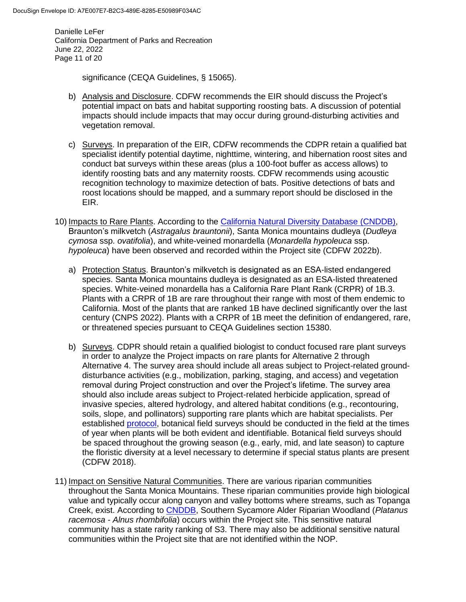Danielle LeFer California Department of Parks and Recreation June 22, 2022 Page 11 of 20

significance (CEQA Guidelines, § 15065).

- b) Analysis and Disclosure. CDFW recommends the EIR should discuss the Project's potential impact on bats and habitat supporting roosting bats. A discussion of potential impacts should include impacts that may occur during ground-disturbing activities and vegetation removal.
- c) Surveys. In preparation of the EIR, CDFW recommends the CDPR retain a qualified bat specialist identify potential daytime, nighttime, wintering, and hibernation roost sites and conduct bat surveys within these areas (plus a 100-foot buffer as access allows) to identify roosting bats and any maternity roosts. CDFW recommends using acoustic recognition technology to maximize detection of bats. Positive detections of bats and roost locations should be mapped, and a summary report should be disclosed in the EIR.
- 10) Impacts to Rare Plants. According to the [California Natural Diversity Database](https://wildlife.ca.gov/Data/CNDDB) (CNDDB), Braunton's milkvetch (*Astragalus brauntonii*), Santa Monica mountains dudleya (*Dudleya cymosa* ssp. *ovatifolia*), and white-veined monardella (*Monardella hypoleuca* ssp. *hypoleuca*) have been observed and recorded within the Project site (CDFW 2022b).
	- a) Protection Status. Braunton's milkvetch is designated as an ESA-listed endangered species. Santa Monica mountains dudleya is designated as an ESA-listed threatened species. White-veined monardella has a California Rare Plant Rank (CRPR) of 1B.3. Plants with a CRPR of 1B are rare throughout their range with most of them endemic to California. Most of the plants that are ranked 1B have declined significantly over the last century (CNPS 2022). Plants with a CRPR of 1B meet the definition of endangered, rare, or threatened species pursuant to CEQA Guidelines section 15380.
	- b) Surveys. CDPR should retain a qualified biologist to conduct focused rare plant surveys in order to analyze the Project impacts on rare plants for Alternative 2 through Alternative 4. The survey area should include all areas subject to Project-related grounddisturbance activities (e.g., mobilization, parking, staging, and access) and vegetation removal during Project construction and over the Project's lifetime. The survey area should also include areas subject to Project-related herbicide application, spread of invasive species, altered hydrology, and altered habitat conditions (e.g., recontouring, soils, slope, and pollinators) supporting rare plants which are habitat specialists. Per established [protocol,](https://nrm.dfg.ca.gov/FileHandler.ashx?DocumentID=18959&inline) botanical field surveys should be conducted in the field at the times of year when plants will be both evident and identifiable. Botanical field surveys should be spaced throughout the growing season (e.g., early, mid, and late season) to capture the floristic diversity at a level necessary to determine if special status plants are present (CDFW 2018).
- 11) Impact on Sensitive Natural Communities. There are various riparian communities throughout the Santa Monica Mountains. These riparian communities provide high biological value and typically occur along canyon and valley bottoms where streams, such as Topanga Creek, exist. According to [CNDDB,](https://wildlife.ca.gov/Data/CNDDB#:~:text=The%20California%20Natural%20Diversity%20Database,mapped%20locations%20for%20these%20species.) Southern Sycamore Alder Riparian Woodland (*Platanus racemosa - Alnus rhombifolia*) occurs within the Project site. This sensitive natural community has a state rarity ranking of S3. There may also be additional sensitive natural communities within the Project site that are not identified within the NOP.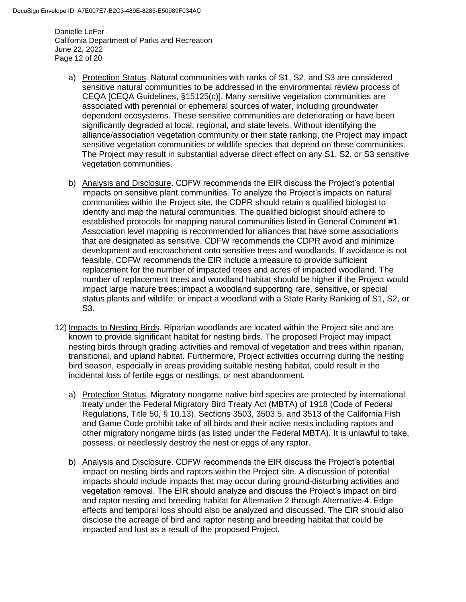Danielle LeFer California Department of Parks and Recreation June 22, 2022 Page 12 of 20

- a) Protection Status. Natural communities with ranks of S1, S2, and S3 are considered sensitive natural communities to be addressed in the environmental review process of CEQA [CEQA Guidelines, §15125(c)]. Many sensitive vegetation communities are associated with perennial or ephemeral sources of water, including groundwater dependent ecosystems. These sensitive communities are deteriorating or have been significantly degraded at local, regional, and state levels. Without identifying the alliance/association vegetation community or their state ranking, the Project may impact sensitive vegetation communities or wildlife species that depend on these communities. The Project may result in substantial adverse direct effect on any S1, S2, or S3 sensitive vegetation communities.
- b) Analysis and Disclosure. CDFW recommends the EIR discuss the Project's potential impacts on sensitive plant communities. To analyze the Project's impacts on natural communities within the Project site, the CDPR should retain a qualified biologist to identify and map the natural communities. The qualified biologist should adhere to established protocols for mapping natural communities listed in General Comment #1. Association level mapping is recommended for alliances that have some associations that are designated as sensitive. CDFW recommends the CDPR avoid and minimize development and encroachment onto sensitive trees and woodlands. If avoidance is not feasible, CDFW recommends the EIR include a measure to provide sufficient replacement for the number of impacted trees and acres of impacted woodland. The number of replacement trees and woodland habitat should be higher if the Project would impact large mature trees; impact a woodland supporting rare, sensitive, or special status plants and wildlife; or impact a woodland with a State Rarity Ranking of S1, S2, or S3.
- 12) Impacts to Nesting Birds. Riparian woodlands are located within the Project site and are known to provide significant habitat for nesting birds. The proposed Project may impact nesting birds through grading activities and removal of vegetation and trees within riparian, transitional, and upland habitat. Furthermore, Project activities occurring during the nesting bird season, especially in areas providing suitable nesting habitat, could result in the incidental loss of fertile eggs or nestlings, or nest abandonment.
	- a) Protection Status. Migratory nongame native bird species are protected by international treaty under the Federal Migratory Bird Treaty Act (MBTA) of 1918 (Code of Federal Regulations, Title 50, § 10.13). Sections 3503, 3503.5, and 3513 of the California Fish and Game Code prohibit take of all birds and their active nests including raptors and other migratory nongame birds (as listed under the Federal MBTA). It is unlawful to take, possess, or needlessly destroy the nest or eggs of any raptor.
	- b) Analysis and Disclosure. CDFW recommends the EIR discuss the Project's potential impact on nesting birds and raptors within the Project site. A discussion of potential impacts should include impacts that may occur during ground-disturbing activities and vegetation removal. The EIR should analyze and discuss the Project's impact on bird and raptor nesting and breeding habitat for Alternative 2 through Alternative 4. Edge effects and temporal loss should also be analyzed and discussed. The EIR should also disclose the acreage of bird and raptor nesting and breeding habitat that could be impacted and lost as a result of the proposed Project.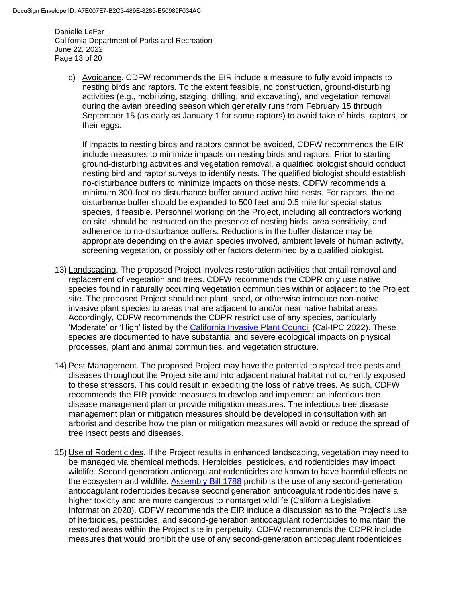Danielle LeFer California Department of Parks and Recreation June 22, 2022 Page 13 of 20

c) Avoidance. CDFW recommends the EIR include a measure to fully avoid impacts to nesting birds and raptors. To the extent feasible, no construction, ground-disturbing activities (e.g., mobilizing, staging, drilling, and excavating), and vegetation removal during the avian breeding season which generally runs from February 15 through September 15 (as early as January 1 for some raptors) to avoid take of birds, raptors, or their eggs.

If impacts to nesting birds and raptors cannot be avoided, CDFW recommends the EIR include measures to minimize impacts on nesting birds and raptors. Prior to starting ground-disturbing activities and vegetation removal, a qualified biologist should conduct nesting bird and raptor surveys to identify nests. The qualified biologist should establish no-disturbance buffers to minimize impacts on those nests. CDFW recommends a minimum 300-foot no disturbance buffer around active bird nests. For raptors, the no disturbance buffer should be expanded to 500 feet and 0.5 mile for special status species, if feasible. Personnel working on the Project, including all contractors working on site, should be instructed on the presence of nesting birds, area sensitivity, and adherence to no-disturbance buffers. Reductions in the buffer distance may be appropriate depending on the avian species involved, ambient levels of human activity, screening vegetation, or possibly other factors determined by a qualified biologist.

- 13) Landscaping. The proposed Project involves restoration activities that entail removal and replacement of vegetation and trees. CDFW recommends the CDPR only use native species found in naturally occurring vegetation communities within or adjacent to the Project site. The proposed Project should not plant, seed, or otherwise introduce non-native, invasive plant species to areas that are adjacent to and/or near native habitat areas. Accordingly, CDFW recommends the CDPR restrict use of any species, particularly 'Moderate' or 'High' listed by the [California Invasive Plant Council](https://www.cal-ipc.org/plants/inventory/) (Cal-IPC 2022). These species are documented to have substantial and severe ecological impacts on physical processes, plant and animal communities, and vegetation structure.
- 14) Pest Management. The proposed Project may have the potential to spread tree pests and diseases throughout the Project site and into adjacent natural habitat not currently exposed to these stressors. This could result in expediting the loss of native trees. As such, CDFW recommends the EIR provide measures to develop and implement an infectious tree disease management plan or provide mitigation measures. The infectious tree disease management plan or mitigation measures should be developed in consultation with an arborist and describe how the plan or mitigation measures will avoid or reduce the spread of tree insect pests and diseases.
- 15) Use of Rodenticides. If the Project results in enhanced landscaping, vegetation may need to be managed via chemical methods. Herbicides, pesticides, and rodenticides may impact wildlife. Second generation anticoagulant rodenticides are known to have harmful effects on the ecosystem and wildlife. [Assembly Bill 1788](https://leginfo.legislature.ca.gov/faces/billTextClient.xhtml?bill_id=201920200AB1788) prohibits the use of any second-generation anticoagulant rodenticides because second generation anticoagulant rodenticides have a higher toxicity and are more dangerous to nontarget wildlife (California Legislative Information 2020). CDFW recommends the EIR include a discussion as to the Project's use of herbicides, pesticides, and second-generation anticoagulant rodenticides to maintain the restored areas within the Project site in perpetuity. CDFW recommends the CDPR include measures that would prohibit the use of any second-generation anticoagulant rodenticides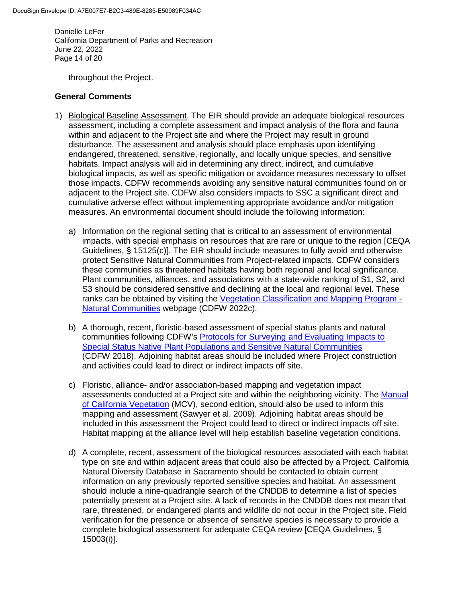Danielle LeFer California Department of Parks and Recreation June 22, 2022 Page 14 of 20

throughout the Project.

#### **General Comments**

- 1) Biological Baseline Assessment. The EIR should provide an adequate biological resources assessment, including a complete assessment and impact analysis of the flora and fauna within and adjacent to the Project site and where the Project may result in ground disturbance. The assessment and analysis should place emphasis upon identifying endangered, threatened, sensitive, regionally, and locally unique species, and sensitive habitats. Impact analysis will aid in determining any direct, indirect, and cumulative biological impacts, as well as specific mitigation or avoidance measures necessary to offset those impacts. CDFW recommends avoiding any sensitive natural communities found on or adjacent to the Project site. CDFW also considers impacts to SSC a significant direct and cumulative adverse effect without implementing appropriate avoidance and/or mitigation measures. An environmental document should include the following information:
	- a) Information on the regional setting that is critical to an assessment of environmental impacts, with special emphasis on resources that are rare or unique to the region [CEQA Guidelines, § 15125(c)]. The EIR should include measures to fully avoid and otherwise protect Sensitive Natural Communities from Project-related impacts. CDFW considers these communities as threatened habitats having both regional and local significance. Plant communities, alliances, and associations with a state-wide ranking of S1, S2, and S3 should be considered sensitive and declining at the local and regional level. These ranks can be obtained by visiting the [Vegetation Classification and Mapping Program -](https://wildlife.ca.gov/Data/VegCAMP/Natural-Communities) [Natural Communities](https://wildlife.ca.gov/Data/VegCAMP/Natural-Communities) webpage (CDFW 2022c).
	- b) A thorough, recent, floristic-based assessment of special status plants and natural communities following CDFW's Protocols for Surveying [and Evaluating Impacts to](https://nrm.dfg.ca.gov/FileHandler.ashx?DocumentID=18959&inline)  [Special Status Native Plant Populations and Sensitive Natural Communities](https://nrm.dfg.ca.gov/FileHandler.ashx?DocumentID=18959&inline) (CDFW 2018). Adjoining habitat areas should be included where Project construction and activities could lead to direct or indirect impacts off site.
	- c) Floristic, alliance- and/or association-based mapping and vegetation impact assessments conducted at a Project site and within the neighboring vicinity. The [Manual](http://vegetation.cnps.org/)  [of California Vegetation](http://vegetation.cnps.org/) (MCV), second edition, should also be used to inform this mapping and assessment (Sawyer et al. 2009). Adjoining habitat areas should be included in this assessment the Project could lead to direct or indirect impacts off site. Habitat mapping at the alliance level will help establish baseline vegetation conditions.
	- d) A complete, recent, assessment of the biological resources associated with each habitat type on site and within adjacent areas that could also be affected by a Project. California Natural Diversity Database in Sacramento should be contacted to obtain current information on any previously reported sensitive species and habitat. An assessment should include a nine-quadrangle search of the CNDDB to determine a list of species potentially present at a Project site. A lack of records in the CNDDB does not mean that rare, threatened, or endangered plants and wildlife do not occur in the Project site. Field verification for the presence or absence of sensitive species is necessary to provide a complete biological assessment for adequate CEQA review [CEQA Guidelines, § 15003(i)].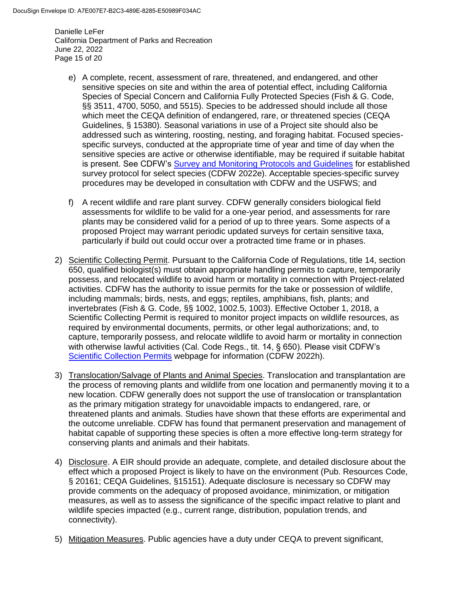Danielle LeFer California Department of Parks and Recreation June 22, 2022 Page 15 of 20

- e) A complete, recent, assessment of rare, threatened, and endangered, and other sensitive species on site and within the area of potential effect, including California Species of Special Concern and California Fully Protected Species (Fish & G. Code, §§ 3511, 4700, 5050, and 5515). Species to be addressed should include all those which meet the CEQA definition of endangered, rare, or threatened species (CEQA Guidelines, § 15380). Seasonal variations in use of a Project site should also be addressed such as wintering, roosting, nesting, and foraging habitat. Focused speciesspecific surveys, conducted at the appropriate time of year and time of day when the sensitive species are active or otherwise identifiable, may be required if suitable habitat is present. See CDFW's [Survey and Monitoring Protocols and Guidelines](https://wildlife.ca.gov/conservation/survey-protocols) for established survey protocol for select species (CDFW 2022e). Acceptable species-specific survey procedures may be developed in consultation with CDFW and the USFWS; and
- f) A recent wildlife and rare plant survey. CDFW generally considers biological field assessments for wildlife to be valid for a one-year period, and assessments for rare plants may be considered valid for a period of up to three years. Some aspects of a proposed Project may warrant periodic updated surveys for certain sensitive taxa, particularly if build out could occur over a protracted time frame or in phases.
- 2) Scientific Collecting Permit. Pursuant to the California Code of Regulations, title 14, section 650, qualified biologist(s) must obtain appropriate handling permits to capture, temporarily possess, and relocated wildlife to avoid harm or mortality in connection with Project-related activities. CDFW has the authority to issue permits for the take or possession of wildlife, including mammals; birds, nests, and eggs; reptiles, amphibians, fish, plants; and invertebrates (Fish & G. Code, §§ 1002, 1002.5, 1003). Effective October 1, 2018, a Scientific Collecting Permit is required to monitor project impacts on wildlife resources, as required by environmental documents, permits, or other legal authorizations; and, to capture, temporarily possess, and relocate wildlife to avoid harm or mortality in connection with otherwise lawful activities (Cal. Code Regs., tit. 14, § 650). Please visit CDFW's [Scientific Collection Permits](https://wildlife.ca.gov/Licensing/Scientific-Collecting#53949678) webpage for information (CDFW 2022h).
- 3) Translocation/Salvage of Plants and Animal Species. Translocation and transplantation are the process of removing plants and wildlife from one location and permanently moving it to a new location. CDFW generally does not support the use of translocation or transplantation as the primary mitigation strategy for unavoidable impacts to endangered, rare, or threatened plants and animals. Studies have shown that these efforts are experimental and the outcome unreliable. CDFW has found that permanent preservation and management of habitat capable of supporting these species is often a more effective long-term strategy for conserving plants and animals and their habitats.
- 4) Disclosure. A EIR should provide an adequate, complete, and detailed disclosure about the effect which a proposed Project is likely to have on the environment (Pub. Resources Code, § 20161; CEQA Guidelines, §15151). Adequate disclosure is necessary so CDFW may provide comments on the adequacy of proposed avoidance, minimization, or mitigation measures, as well as to assess the significance of the specific impact relative to plant and wildlife species impacted (e.g., current range, distribution, population trends, and connectivity).
- 5) Mitigation Measures. Public agencies have a duty under CEQA to prevent significant,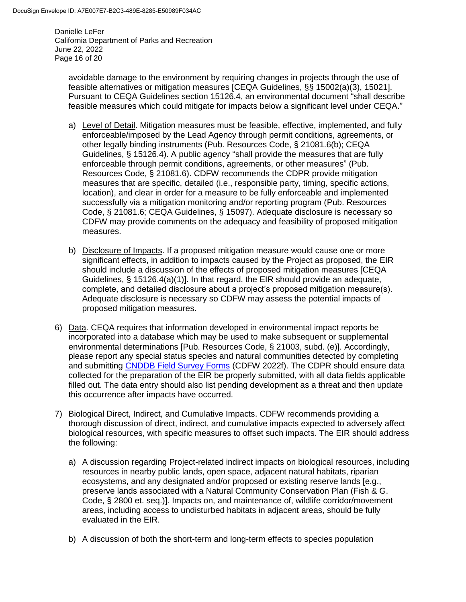Danielle LeFer California Department of Parks and Recreation June 22, 2022 Page 16 of 20

avoidable damage to the environment by requiring changes in projects through the use of feasible alternatives or mitigation measures [CEQA Guidelines, §§ 15002(a)(3), 15021]. Pursuant to CEQA Guidelines section 15126.4, an environmental document "shall describe feasible measures which could mitigate for impacts below a significant level under CEQA."

- a) Level of Detail. Mitigation measures must be feasible, effective, implemented, and fully enforceable/imposed by the Lead Agency through permit conditions, agreements, or other legally binding instruments (Pub. Resources Code, § 21081.6(b); CEQA Guidelines, § 15126.4). A public agency "shall provide the measures that are fully enforceable through permit conditions, agreements, or other measures" (Pub. Resources Code, § 21081.6). CDFW recommends the CDPR provide mitigation measures that are specific, detailed (i.e., responsible party, timing, specific actions, location), and clear in order for a measure to be fully enforceable and implemented successfully via a mitigation monitoring and/or reporting program (Pub. Resources Code, § 21081.6; CEQA Guidelines, § 15097). Adequate disclosure is necessary so CDFW may provide comments on the adequacy and feasibility of proposed mitigation measures.
- b) Disclosure of Impacts. If a proposed mitigation measure would cause one or more significant effects, in addition to impacts caused by the Project as proposed, the EIR should include a discussion of the effects of proposed mitigation measures [CEQA Guidelines, § 15126.4(a)(1)]. In that regard, the EIR should provide an adequate, complete, and detailed disclosure about a project's proposed mitigation measure(s). Adequate disclosure is necessary so CDFW may assess the potential impacts of proposed mitigation measures.
- 6) Data. CEQA requires that information developed in environmental impact reports be incorporated into a database which may be used to make subsequent or supplemental environmental determinations [Pub. Resources Code, § 21003, subd. (e)]. Accordingly, please report any special status species and natural communities detected by completing and submitting [CNDDB Field Survey Forms](https://wildlife.ca.gov/Data/CNDDB/Submitting-Data) (CDFW 2022f). The CDPR should ensure data collected for the preparation of the EIR be properly submitted, with all data fields applicable filled out. The data entry should also list pending development as a threat and then update this occurrence after impacts have occurred.
- 7) Biological Direct, Indirect, and Cumulative Impacts. CDFW recommends providing a thorough discussion of direct, indirect, and cumulative impacts expected to adversely affect biological resources, with specific measures to offset such impacts. The EIR should address the following:
	- a) A discussion regarding Project-related indirect impacts on biological resources, including resources in nearby public lands, open space, adjacent natural habitats, riparian ecosystems, and any designated and/or proposed or existing reserve lands [e.g., preserve lands associated with a Natural Community Conservation Plan (Fish & G. Code, § 2800 et. seq.)]. Impacts on, and maintenance of, wildlife corridor/movement areas, including access to undisturbed habitats in adjacent areas, should be fully evaluated in the EIR.
	- b) A discussion of both the short-term and long-term effects to species population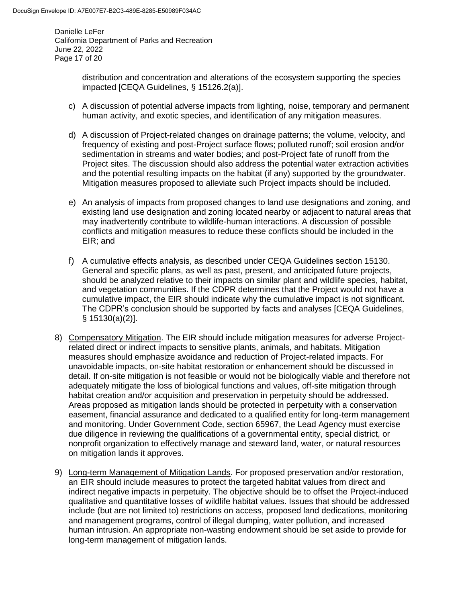Danielle LeFer California Department of Parks and Recreation June 22, 2022 Page 17 of 20

> distribution and concentration and alterations of the ecosystem supporting the species impacted [CEQA Guidelines, § 15126.2(a)].

- c) A discussion of potential adverse impacts from lighting, noise, temporary and permanent human activity, and exotic species, and identification of any mitigation measures.
- d) A discussion of Project-related changes on drainage patterns; the volume, velocity, and frequency of existing and post-Project surface flows; polluted runoff; soil erosion and/or sedimentation in streams and water bodies; and post-Project fate of runoff from the Project sites. The discussion should also address the potential water extraction activities and the potential resulting impacts on the habitat (if any) supported by the groundwater. Mitigation measures proposed to alleviate such Project impacts should be included.
- e) An analysis of impacts from proposed changes to land use designations and zoning, and existing land use designation and zoning located nearby or adjacent to natural areas that may inadvertently contribute to wildlife-human interactions. A discussion of possible conflicts and mitigation measures to reduce these conflicts should be included in the EIR; and
- f) A cumulative effects analysis, as described under CEQA Guidelines section 15130. General and specific plans, as well as past, present, and anticipated future projects, should be analyzed relative to their impacts on similar plant and wildlife species, habitat, and vegetation communities. If the CDPR determines that the Project would not have a cumulative impact, the EIR should indicate why the cumulative impact is not significant. The CDPR's conclusion should be supported by facts and analyses [CEQA Guidelines, § 15130(a)(2)].
- 8) Compensatory Mitigation. The EIR should include mitigation measures for adverse Projectrelated direct or indirect impacts to sensitive plants, animals, and habitats. Mitigation measures should emphasize avoidance and reduction of Project-related impacts. For unavoidable impacts, on-site habitat restoration or enhancement should be discussed in detail. If on-site mitigation is not feasible or would not be biologically viable and therefore not adequately mitigate the loss of biological functions and values, off-site mitigation through habitat creation and/or acquisition and preservation in perpetuity should be addressed. Areas proposed as mitigation lands should be protected in perpetuity with a conservation easement, financial assurance and dedicated to a qualified entity for long-term management and monitoring. Under Government Code, section 65967, the Lead Agency must exercise due diligence in reviewing the qualifications of a governmental entity, special district, or nonprofit organization to effectively manage and steward land, water, or natural resources on mitigation lands it approves.
- 9) Long-term Management of Mitigation Lands. For proposed preservation and/or restoration, an EIR should include measures to protect the targeted habitat values from direct and indirect negative impacts in perpetuity. The objective should be to offset the Project-induced qualitative and quantitative losses of wildlife habitat values. Issues that should be addressed include (but are not limited to) restrictions on access, proposed land dedications, monitoring and management programs, control of illegal dumping, water pollution, and increased human intrusion. An appropriate non-wasting endowment should be set aside to provide for long-term management of mitigation lands.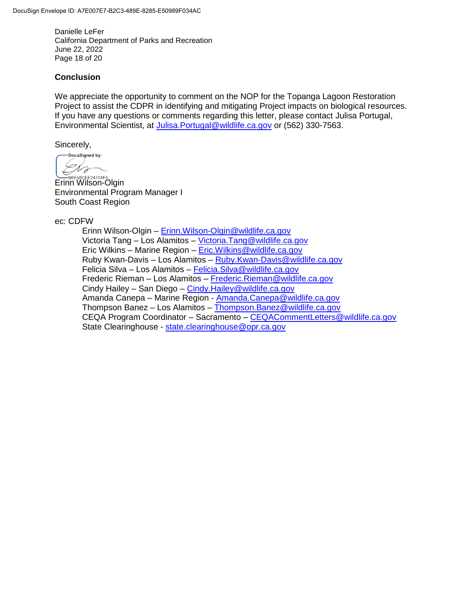Danielle LeFer California Department of Parks and Recreation June 22, 2022 Page 18 of 20

#### **Conclusion**

We appreciate the opportunity to comment on the NOP for the Topanga Lagoon Restoration Project to assist the CDPR in identifying and mitigating Project impacts on biological resources. If you have any questions or comments regarding this letter, please contact Julisa Portugal, Environmental Scientist, at [Julisa.Portugal@wildlife.ca.gov](mailto:Julisa.Portugal@wildlife.ca.gov) or (562) 330-7563.

Sincerely,

DocuSigned by: U F

ERESSOFE24724F5 Environmental Program Manager I South Coast Region

ec: CDFW

Erinn Wilson-Olgin – [Erinn.Wilson-Olgin@wildlife.ca.gov](mailto:Erinn.Wilson-Olgin@wildlife.ca.gov) Victoria Tang - Los Alamitos - [Victoria.Tang@wildlife.ca.gov](mailto:Victoria.Tang@wildlife.ca.gov) Eric Wilkins – Marine Region – [Eric.Wilkins@wildlife.ca.gov](mailto:Eric.Wilkins@wildlife.ca.gov) Ruby Kwan-Davis – Los Alamitos – [Ruby.Kwan-Davis@wildlife.ca.gov](mailto:Ruby.Kwan-Davis@wildlife.ca.gov) Felicia Silva – Los Alamitos – [Felicia.Silva@wildlife.ca.gov](mailto:Felicia.Silva@wildlife.ca.gov) Frederic Rieman – Los Alamitos – [Frederic.Rieman@wildlife.ca.gov](mailto:Frederic.Rieman@wildlife.ca.gov) Cindy Hailey - San Diego - Cindy. Hailey@wildlife.ca.gov Amanda Canepa – Marine Region - [Amanda.Canepa@wildlife.ca.gov](mailto:Amanda.Canepa@wildlife.ca.gov) Thompson Banez – Los Alamitos – [Thompson.Banez@wildlife.ca.gov](mailto:Thompson.Banez@wildlife.ca.gov) CEQA Program Coordinator – Sacramento – [CEQACommentLetters@wildlife.ca.gov](mailto:CEQACommentLetters@wildlife.ca.gov)  State Clearinghouse - [state.clearinghouse@opr.ca.gov](mailto:state.clearinghouse@opr.ca.gov)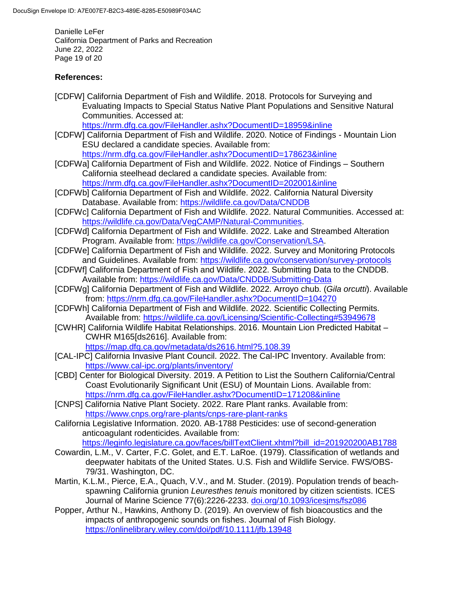Danielle LeFer California Department of Parks and Recreation June 22, 2022 Page 19 of 20

# **References:**

[CDFW] California Department of Fish and Wildlife. 2018. Protocols for Surveying and Evaluating Impacts to Special Status Native Plant Populations and Sensitive Natural Communities. Accessed at:

<https://nrm.dfg.ca.gov/FileHandler.ashx?DocumentID=18959&inline>

- [CDFW] California Department of Fish and Wildlife. 2020. Notice of Findings Mountain Lion ESU declared a candidate species. Available from: <https://nrm.dfg.ca.gov/FileHandler.ashx?DocumentID=178623&inline>
- [CDFWa] California Department of Fish and Wildlife. 2022. Notice of Findings Southern California steelhead declared a candidate species. Available from: <https://nrm.dfg.ca.gov/FileHandler.ashx?DocumentID=202001&inline>
- [CDFWb] California Department of Fish and Wildlife. 2022. California Natural Diversity Database. Available from:<https://wildlife.ca.gov/Data/CNDDB>
- [CDFWc] California Department of Fish and Wildlife. 2022. Natural Communities. Accessed at: [https://wildlife.ca.gov/Data/VegCAMP/Natural-Communities.](https://wildlife.ca.gov/Data/VegCAMP/Natural-Communities)
- [CDFWd] California Department of Fish and Wildlife. 2022. Lake and Streambed Alteration Program. Available from: [https://wildlife.ca.gov/Conservation/LSA.](https://wildlife.ca.gov/Conservation/LSA)
- [CDFWe] California Department of Fish and Wildlife. 2022. Survey and Monitoring Protocols and Guidelines. Available from:<https://wildlife.ca.gov/conservation/survey-protocols>
- [CDFWf] California Department of Fish and Wildlife. 2022. Submitting Data to the CNDDB. Available from:<https://wildlife.ca.gov/Data/CNDDB/Submitting-Data>
- [CDFWg] California Department of Fish and Wildlife. 2022. Arroyo chub. (*Gila orcutti*). Available from: <https://nrm.dfg.ca.gov/FileHandler.ashx?DocumentID=104270>
- [CDFWh] California Department of Fish and Wildlife. 2022. Scientific Collecting Permits. Available from: <https://wildlife.ca.gov/Licensing/Scientific-Collecting#53949678>
- [CWHR] California Wildlife Habitat Relationships. 2016. Mountain Lion Predicted Habitat CWHR M165[ds2616]. Available from: <https://map.dfg.ca.gov/metadata/ds2616.html?5.108.39>
- [CAL-IPC] California Invasive Plant Council. 2022. The Cal-IPC Inventory. Available from: <https://www.cal-ipc.org/plants/inventory/>
- [CBD] Center for Biological Diversity. 2019. A Petition to List the Southern California/Central Coast Evolutionarily Significant Unit (ESU) of Mountain Lions. Available from: <https://nrm.dfg.ca.gov/FileHandler.ashx?DocumentID=171208&inline>
- [CNPS] California Native Plant Society. 2022. Rare Plant ranks. Available from: <https://www.cnps.org/rare-plants/cnps-rare-plant-ranks>
- California Legislative Information. 2020. AB-1788 Pesticides: use of second-generation anticoagulant rodenticides. Available from: [https://leginfo.legislature.ca.gov/faces/billTextClient.xhtml?bill\\_id=201920200AB1788](https://leginfo.legislature.ca.gov/faces/billTextClient.xhtml?bill_id=201920200AB1788)
- Cowardin, L.M., V. Carter, F.C. Golet, and E.T. LaRoe. (1979). Classification of wetlands and deepwater habitats of the United States. U.S. Fish and Wildlife Service. FWS/OBS-79/31. Washington, DC.
- Martin, K.L.M., Pierce, E.A., Quach, V.V., and M. Studer. (2019). Population trends of beachspawning California grunion *Leuresthes tenuis* monitored by citizen scientists. ICES Journal of Marine Science 77(6):2226-2233. [doi.org/10.1093/icesjms/fsz086](https://doi.org/10.1093/icesjms/fsz086)
- Popper, Arthur N., Hawkins, Anthony D. (2019). An overview of fish bioacoustics and the impacts of anthropogenic sounds on fishes. Journal of Fish Biology. <https://onlinelibrary.wiley.com/doi/pdf/10.1111/jfb.13948>